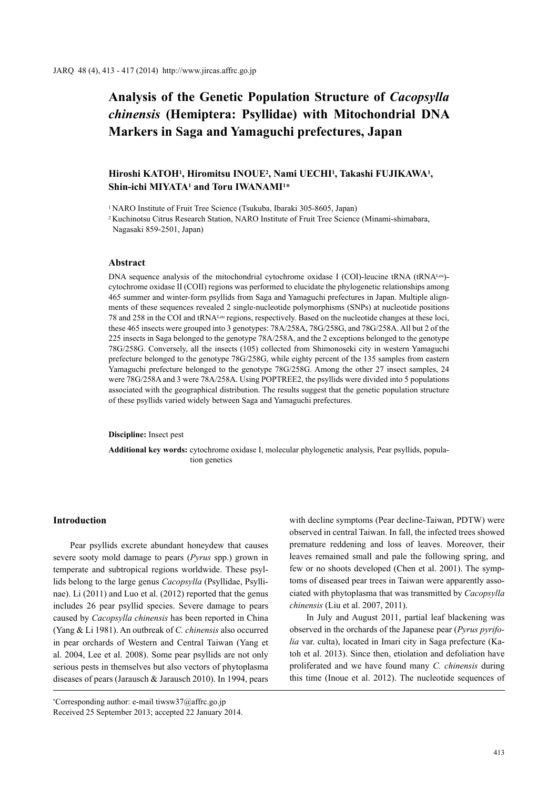# **Analysis of the Genetic Population Structure of** *Cacopsylla chinensis* **(Hemiptera: Psyllidae) with Mitochondrial DNA Markers in Saga and Yamaguchi prefectures, Japan**

## **Hiroshi KATOH1, Hiromitsu INOUE2, Nami UECHI1, Takashi FUJIKAWA1, Shin-ichi MIYATA1 and Toru IWANAMI1**\*

<sup>1</sup> NARO Institute of Fruit Tree Science (Tsukuba, Ibaraki 305-8605, Japan)

2 Kuchinotsu Citrus Research Station, NARO Institute of Fruit Tree Science (Minami-shimabara, Nagasaki 859-2501, Japan)

### **Abstract**

DNA sequence analysis of the mitochondrial cytochrome oxidase I (COI)-leucine tRNA (tRNA<sup>Leu</sup>)cytochrome oxidase II (COII) regions was performed to elucidate the phylogenetic relationships among 465 summer and winter-form psyllids from Saga and Yamaguchi prefectures in Japan. Multiple alignments of these sequences revealed 2 single-nucleotide polymorphisms (SNPs) at nucleotide positions 78 and 258 in the COI and tRNALeu regions, respectively. Based on the nucleotide changes at these loci, these 465 insects were grouped into 3 genotypes: 78A/258A, 78G/258G, and 78G/258A. All but 2 of the 225 insects in Saga belonged to the genotype 78A/258A, and the 2 exceptions belonged to the genotype 78G/258G. Conversely, all the insects (105) collected from Shimonoseki city in western Yamaguchi prefecture belonged to the genotype 78G/258G, while eighty percent of the 135 samples from eastern Yamaguchi prefecture belonged to the genotype 78G/258G. Among the other 27 insect samples, 24 were 78G/258A and 3 were 78A/258A. Using POPTREE2, the psyllids were divided into 5 populations associated with the geographical distribution. The results suggest that the genetic population structure of these psyllids varied widely between Saga and Yamaguchi prefectures.

#### **Discipline:** Insect pest

**Additional key words:** cytochrome oxidase I, molecular phylogenetic analysis, Pear psyllids, population genetics

#### **Introduction**

Pear psyllids excrete abundant honeydew that causes severe sooty mold damage to pears (*Pyrus* spp.) grown in temperate and subtropical regions worldwide. These psyllids belong to the large genus *Cacopsylla* (Psyllidae, Psyllinae). Li (2011) and Luo et al. (2012) reported that the genus includes 26 pear psyllid species. Severe damage to pears caused by *Cacopsylla chinensis* has been reported in China (Yang & Li 1981). An outbreak of *C. chinensis* also occurred in pear orchards of Western and Central Taiwan (Yang et al. 2004, Lee et al. 2008). Some pear psyllids are not only serious pests in themselves but also vectors of phytoplasma diseases of pears (Jarausch & Jarausch 2010). In 1994, pears

with decline symptoms (Pear decline-Taiwan, PDTW) were observed in central Taiwan. In fall, the infected trees showed premature reddening and loss of leaves. Moreover, their leaves remained small and pale the following spring, and few or no shoots developed (Chen et al. 2001). The symptoms of diseased pear trees in Taiwan were apparently associated with phytoplasma that was transmitted by *Cacopsylla chinensis* (Liu et al. 2007, 2011).

In July and August 2011, partial leaf blackening was observed in the orchards of the Japanese pear (*Pyrus pyrifolia* var. culta), located in Imari city in Saga prefecture (Katoh et al. 2013). Since then, etiolation and defoliation have proliferated and we have found many *C. chinensis* during this time (Inoue et al. 2012). The nucleotide sequences of

<sup>\*</sup>Corresponding author: e-mail tiwsw37@affrc.go.jp Received 25 September 2013; accepted 22 January 2014.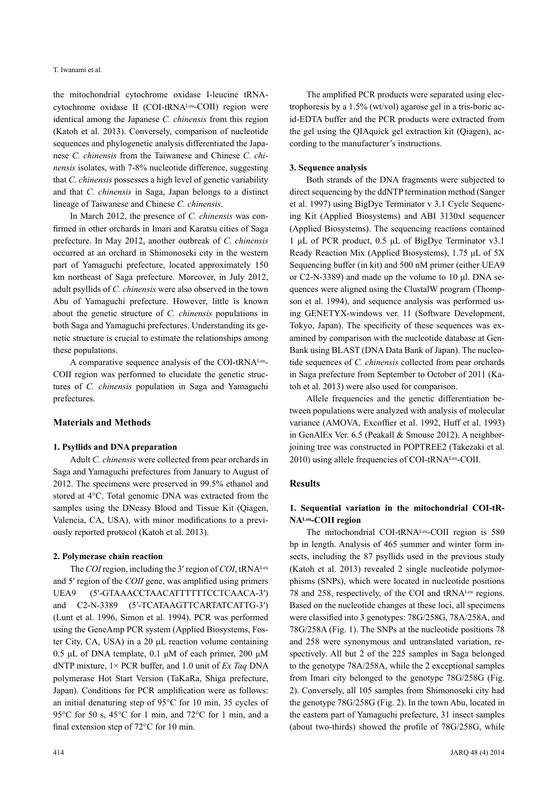the mitochondrial cytochrome oxidase I-leucine tRNAcytochrome oxidase II (COI-tRNALeu-COII) region were identical among the Japanese *C. chinensis* from this region (Katoh et al. 2013). Conversely, comparison of nucleotide sequences and phylogenetic analysis differentiated the Japanese *C. chinensis* from the Taiwanese and Chinese *C. chinensis* isolates, with 7-8% nucleotide difference, suggesting that *C. chinensis* possesses a high level of genetic variability and that *C. chinensis* in Saga, Japan belongs to a distinct lineage of Taiwanese and Chinese *C. chinensis*.

In March 2012, the presence of *C. chinensis* was confirmed in other orchards in Imari and Karatsu cities of Saga prefecture. In May 2012, another outbreak of *C. chinensis* occurred at an orchard in Shimonoseki city in the western part of Yamaguchi prefecture, located approximately 150 km northeast of Saga prefecture. Moreover, in July 2012, adult psyllids of *C. chinensis* were also observed in the town Abu of Yamaguchi prefecture. However, little is known about the genetic structure of *C. chinensis* populations in both Saga and Yamaguchi prefectures. Understanding its genetic structure is crucial to estimate the relationships among these populations.

A comparative sequence analysis of the COI-tRNALeu-COII region was performed to elucidate the genetic structures of *C. chinensis* population in Saga and Yamaguchi prefectures.

#### **Materials and Methods**

#### **1. Psyllids and DNA preparation**

Adult *C. chinensis* were collected from pear orchards in Saga and Yamaguchi prefectures from January to August of 2012. The specimens were preserved in 99.5% ethanol and stored at 4°C. Total genomic DNA was extracted from the samples using the DNeasy Blood and Tissue Kit (Qiagen, Valencia, CA, USA), with minor modifications to a previously reported protocol (Katoh et al. 2013).

#### **2. Polymerase chain reaction**

The *COI* region, including the 3′ region of *COI*, tRNALeu and 5′ region of the *COII* gene, was amplified using primers UEA9 (5'-GTAAACCTAACATTTTTCCTCAACA-3') and C2-N-3389 (5′-TCATAAGTTCARTATCATTG-3′) (Lunt et al. 1996, Simon et al. 1994). PCR was performed using the GeneAmp PCR system (Applied Biosystems, Foster City, CA, USA) in a 20 μL reaction volume containing 0.5 μL of DNA template, 0.1 μM of each primer, 200 μM dNTP mixture, 1× PCR buffer, and 1.0 unit of *Ex Taq* DNA polymerase Hot Start Version (TaKaRa, Shiga prefecture, Japan). Conditions for PCR amplification were as follows: an initial denaturing step of 95°C for 10 min, 35 cycles of 95°C for 50 s, 45°C for 1 min, and 72°C for 1 min, and a final extension step of 72°C for 10 min.

The amplified PCR products were separated using electrophoresis by a 1.5% (wt/vol) agarose gel in a tris-boric acid-EDTA buffer and the PCR products were extracted from the gel using the QIAquick gel extraction kit (Qiagen), according to the manufacturer's instructions.

#### **3. Sequence analysis**

Both strands of the DNA fragments were subjected to direct sequencing by the ddNTP termination method (Sanger et al. 1997) using BigDye Terminator v 3.1 Cycle Sequencing Kit (Applied Biosystems) and ABI 3130xl sequencer (Applied Biosystems). The sequencing reactions contained 1 μL of PCR product, 0.5 μL of BigDye Terminator v3.1 Ready Reaction Mix (Applied Biosystems), 1.75 μL of 5X Sequencing buffer (in kit) and 500 nM primer (either UEA9 or C2-N-3389) and made up the volume to 10 μl. DNA sequences were aligned using the ClustalW program (Thompson et al. 1994), and sequence analysis was performed using GENETYX-windows ver. 11 (Software Development, Tokyo, Japan). The specificity of these sequences was examined by comparison with the nucleotide database at Gen-Bank using BLAST (DNA Data Bank of Japan). The nucleotide sequences of *C. chinensis* collected from pear orchards in Saga prefecture from September to October of 2011 (Katoh et al. 2013) were also used for comparison.

Allele frequencies and the genetic differentiation between populations were analyzed with analysis of molecular variance (AMOVA, Excoffier et al. 1992, Huff et al. 1993) in GenAlEx Ver. 6.5 (Peakall & Smouse 2012). A neighborjoining tree was constructed in POPTREE2 (Takezaki et al. 2010) using allele frequencies of COI-tRNALeu-COII.

#### **Results**

## **1. Sequential variation in the mitochondrial COI-tR-NALeu-COII region**

The mitochondrial COI-tRNALeu-COII region is 580 bp in length. Analysis of 465 summer and winter form insects, including the 87 psyllids used in the previous study (Katoh et al. 2013) revealed 2 single nucleotide polymorphisms (SNPs), which were located in nucleotide positions 78 and 258, respectively, of the COI and tRNALeu regions. Based on the nucleotide changes at these loci, all specimens were classified into 3 genotypes: 78G/258G, 78A/258A, and 78G/258A (Fig. 1). The SNPs at the nucleotide positions 78 and 258 were synonymous and untranslated variation, respectively. All but 2 of the 225 samples in Saga belonged to the genotype 78A/258A, while the 2 exceptional samples from Imari city belonged to the genotype 78G/258G (Fig. 2). Conversely, all 105 samples from Shimonoseki city had the genotype 78G/258G (Fig. 2). In the town Abu, located in the eastern part of Yamaguchi prefecture, 31 insect samples (about two-thirds) showed the profile of 78G/258G, while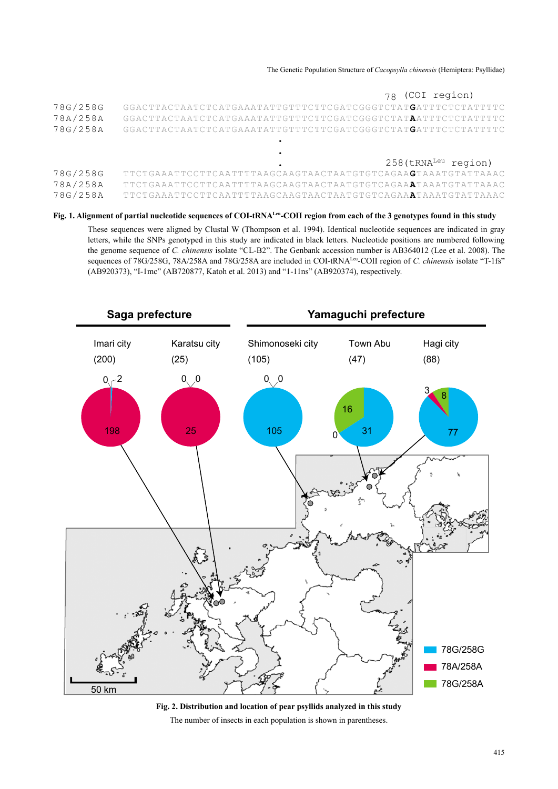#### The Genetic Population Structure of Cacopsylla chinensis (Hemiptera: Psyllidae)

## 78 (COI region)

| 78G/258G | GGACTTACTAATCTCATGAAATATTGTTTCTTCGATCGGGTCTATGATTTCTCTATTTTC                                                                 |
|----------|------------------------------------------------------------------------------------------------------------------------------|
| 78A/258A | GGACTTACTAATCTCATGAAATATTGTTTCTTCGATCGGGTCTATAATTTCTCTATTTTC                                                                 |
| 78G/258A | GGACTTACTAATCTCATGAAATATTGTTTCTTCGATCGGGTCTATGATTTCTCTATTTTC                                                                 |
| 78G/258G | $\bullet$<br>$258$ (tRNA <sup>Leu</sup> region)<br>$\bullet$<br>TTCTGAAATTCCTTCAATTTTAAGCAAGTAACTAATGTGTCAGAAGTAAATGTATTAAAC |
| 78A/258A |                                                                                                                              |
| 78G/258A |                                                                                                                              |

#### Fig. 1. Alignment of partial nucleotide sequences of COI-tRNA<sup>Leu</sup>-COII region from each of the 3 genotypes found in this study

These sequences were aligned by Clustal W (Thompson et al. 1994). Identical nucleotide sequences are indicated in gray letters, while the SNPs genotyped in this study are indicated in black letters. Nucleotide positions are numbered following the genome sequence of C. chinensis isolate "CL-B2". The Genbank accession number is AB364012 (Lee et al. 2008). The sequences of 78G/258G, 78A/258A and 78G/258A are included in COI-tRNA<sup>Leu</sup>-COII region of C. chinensis isolate "T-1fs" (AB920373), "I-1mc" (AB720877, Katoh et al. 2013) and "1-11ns" (AB920374), respectively.



Fig. 2. Distribution and location of pear psyllids analyzed in this study The number of insects in each population is shown in parentheses.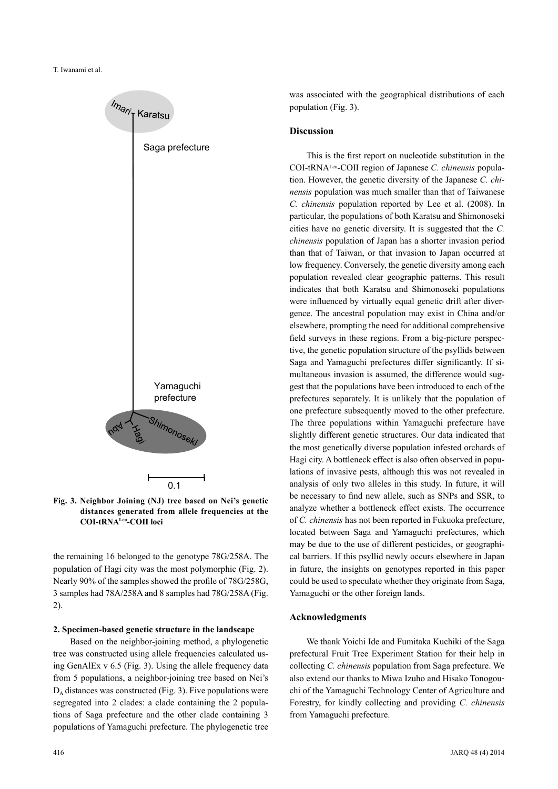

**Fig. 3. Neighbor Joining (NJ) tree based on Nei's genetic distances generated from allele frequencies at the COI-tRNALeu-COII loci**

the remaining 16 belonged to the genotype 78G/258A. The population of Hagi city was the most polymorphic (Fig. 2). Nearly 90% of the samples showed the profile of 78G/258G, 3 samples had 78A/258A and 8 samples had 78G/258A (Fig. 2).

#### **2. Specimen-based genetic structure in the landscape**

Based on the neighbor-joining method, a phylogenetic tree was constructed using allele frequencies calculated using GenAlEx v 6.5 (Fig. 3). Using the allele frequency data from 5 populations, a neighbor-joining tree based on Nei's  $D_A$  distances was constructed (Fig. 3). Five populations were segregated into 2 clades: a clade containing the 2 populations of Saga prefecture and the other clade containing 3 populations of Yamaguchi prefecture. The phylogenetic tree

was associated with the geographical distributions of each population (Fig. 3).

#### **Discussion**

This is the first report on nucleotide substitution in the COI-tRNALeu-COII region of Japanese *C. chinensis* population. However, the genetic diversity of the Japanese *C. chinensis* population was much smaller than that of Taiwanese *C. chinensis* population reported by Lee et al. (2008). In particular, the populations of both Karatsu and Shimonoseki cities have no genetic diversity. It is suggested that the *C. chinensis* population of Japan has a shorter invasion period than that of Taiwan, or that invasion to Japan occurred at low frequency. Conversely, the genetic diversity among each population revealed clear geographic patterns. This result indicates that both Karatsu and Shimonoseki populations were influenced by virtually equal genetic drift after divergence. The ancestral population may exist in China and/or elsewhere, prompting the need for additional comprehensive field surveys in these regions. From a big-picture perspective, the genetic population structure of the psyllids between Saga and Yamaguchi prefectures differ significantly. If simultaneous invasion is assumed, the difference would suggest that the populations have been introduced to each of the prefectures separately. It is unlikely that the population of one prefecture subsequently moved to the other prefecture. The three populations within Yamaguchi prefecture have slightly different genetic structures. Our data indicated that the most genetically diverse population infested orchards of Hagi city. A bottleneck effect is also often observed in populations of invasive pests, although this was not revealed in analysis of only two alleles in this study. In future, it will be necessary to find new allele, such as SNPs and SSR, to analyze whether a bottleneck effect exists. The occurrence of *C. chinensis* has not been reported in Fukuoka prefecture, located between Saga and Yamaguchi prefectures, which may be due to the use of different pesticides, or geographical barriers. If this psyllid newly occurs elsewhere in Japan in future, the insights on genotypes reported in this paper could be used to speculate whether they originate from Saga, Yamaguchi or the other foreign lands.

#### **Acknowledgments**

We thank Yoichi Ide and Fumitaka Kuchiki of the Saga prefectural Fruit Tree Experiment Station for their help in collecting *C. chinensis* population from Saga prefecture. We also extend our thanks to Miwa Izuho and Hisako Tonogouchi of the Yamaguchi Technology Center of Agriculture and Forestry, for kindly collecting and providing *C. chinensis* from Yamaguchi prefecture.